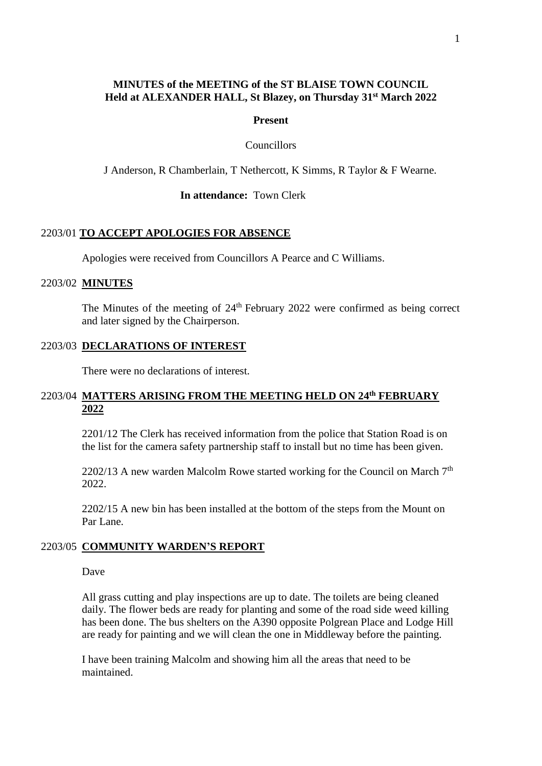## **MINUTES of the MEETING of the ST BLAISE TOWN COUNCIL Held at ALEXANDER HALL, St Blazey, on Thursday 31st March 2022**

#### **Present**

#### Councillors

J Anderson, R Chamberlain, T Nethercott, K Simms, R Taylor & F Wearne.

## **In attendance:** Town Clerk

#### 2203/01 **TO ACCEPT APOLOGIES FOR ABSENCE**

Apologies were received from Councillors A Pearce and C Williams.

#### 2203/02 **MINUTES**

The Minutes of the meeting of  $24<sup>th</sup>$  February 2022 were confirmed as being correct and later signed by the Chairperson.

## 2203/03 **DECLARATIONS OF INTEREST**

There were no declarations of interest.

## 2203/04 MATTERS ARISING FROM THE MEETING HELD ON 24<sup>th</sup> FEBRUARY **2022**

2201/12 The Clerk has received information from the police that Station Road is on the list for the camera safety partnership staff to install but no time has been given.

2202/13 A new warden Malcolm Rowe started working for the Council on March  $7<sup>th</sup>$ 2022.

2202/15 A new bin has been installed at the bottom of the steps from the Mount on Par Lane.

## 2203/05 **COMMUNITY WARDEN'S REPORT**

Dave

All grass cutting and play inspections are up to date. The toilets are being cleaned daily. The flower beds are ready for planting and some of the road side weed killing has been done. The bus shelters on the A390 opposite Polgrean Place and Lodge Hill are ready for painting and we will clean the one in Middleway before the painting.

I have been training Malcolm and showing him all the areas that need to be maintained.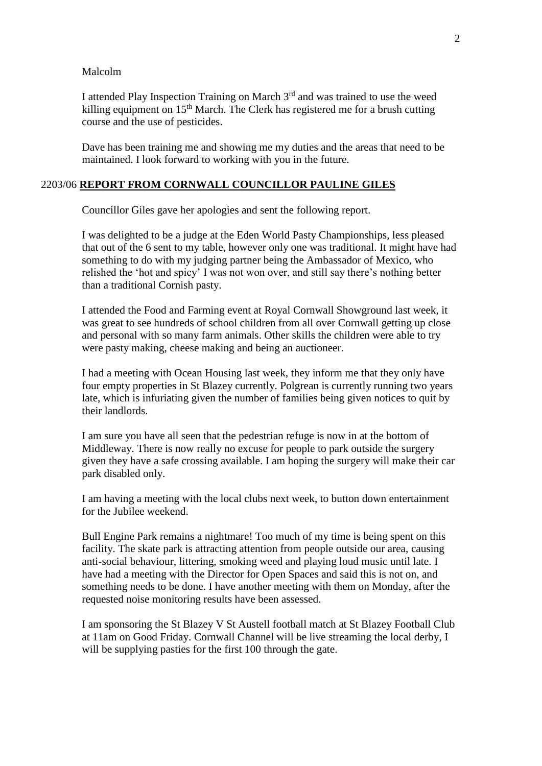#### Malcolm

I attended Play Inspection Training on March  $3<sup>rd</sup>$  and was trained to use the weed killing equipment on  $15<sup>th</sup>$  March. The Clerk has registered me for a brush cutting course and the use of pesticides.

Dave has been training me and showing me my duties and the areas that need to be maintained. I look forward to working with you in the future.

## 2203/06 **REPORT FROM CORNWALL COUNCILLOR PAULINE GILES**

Councillor Giles gave her apologies and sent the following report.

I was delighted to be a judge at the Eden World Pasty Championships, less pleased that out of the 6 sent to my table, however only one was traditional. It might have had something to do with my judging partner being the Ambassador of Mexico, who relished the 'hot and spicy' I was not won over, and still say there's nothing better than a traditional Cornish pasty.

I attended the Food and Farming event at Royal Cornwall Showground last week, it was great to see hundreds of school children from all over Cornwall getting up close and personal with so many farm animals. Other skills the children were able to try were pasty making, cheese making and being an auctioneer.

I had a meeting with Ocean Housing last week, they inform me that they only have four empty properties in St Blazey currently. Polgrean is currently running two years late, which is infuriating given the number of families being given notices to quit by their landlords.

I am sure you have all seen that the pedestrian refuge is now in at the bottom of Middleway. There is now really no excuse for people to park outside the surgery given they have a safe crossing available. I am hoping the surgery will make their car park disabled only.

I am having a meeting with the local clubs next week, to button down entertainment for the Jubilee weekend.

Bull Engine Park remains a nightmare! Too much of my time is being spent on this facility. The skate park is attracting attention from people outside our area, causing anti-social behaviour, littering, smoking weed and playing loud music until late. I have had a meeting with the Director for Open Spaces and said this is not on, and something needs to be done. I have another meeting with them on Monday, after the requested noise monitoring results have been assessed.

I am sponsoring the St Blazey V St Austell football match at St Blazey Football Club at 11am on Good Friday. Cornwall Channel will be live streaming the local derby, I will be supplying pasties for the first 100 through the gate.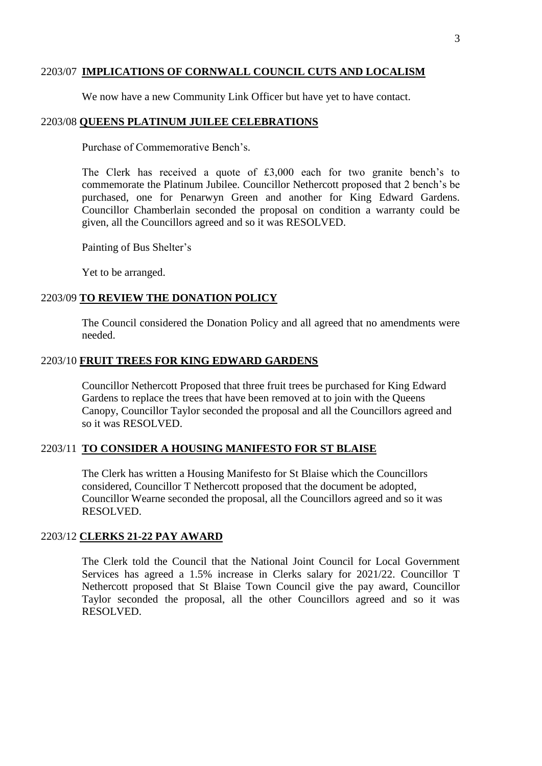## 2203/07 **IMPLICATIONS OF CORNWALL COUNCIL CUTS AND LOCALISM**

We now have a new Community Link Officer but have yet to have contact.

## 2203/08 **QUEENS PLATINUM JUILEE CELEBRATIONS**

Purchase of Commemorative Bench's.

The Clerk has received a quote of £3,000 each for two granite bench's to commemorate the Platinum Jubilee. Councillor Nethercott proposed that 2 bench's be purchased, one for Penarwyn Green and another for King Edward Gardens. Councillor Chamberlain seconded the proposal on condition a warranty could be given, all the Councillors agreed and so it was RESOLVED.

Painting of Bus Shelter's

Yet to be arranged.

## 2203/09 **TO REVIEW THE DONATION POLICY**

The Council considered the Donation Policy and all agreed that no amendments were needed.

#### 2203/10 **FRUIT TREES FOR KING EDWARD GARDENS**

Councillor Nethercott Proposed that three fruit trees be purchased for King Edward Gardens to replace the trees that have been removed at to join with the Queens Canopy, Councillor Taylor seconded the proposal and all the Councillors agreed and so it was RESOLVED.

## 2203/11 **TO CONSIDER A HOUSING MANIFESTO FOR ST BLAISE**

The Clerk has written a Housing Manifesto for St Blaise which the Councillors considered, Councillor T Nethercott proposed that the document be adopted, Councillor Wearne seconded the proposal, all the Councillors agreed and so it was RESOLVED.

## 2203/12 **CLERKS 21-22 PAY AWARD**

The Clerk told the Council that the National Joint Council for Local Government Services has agreed a 1.5% increase in Clerks salary for 2021/22. Councillor T Nethercott proposed that St Blaise Town Council give the pay award, Councillor Taylor seconded the proposal, all the other Councillors agreed and so it was RESOLVED.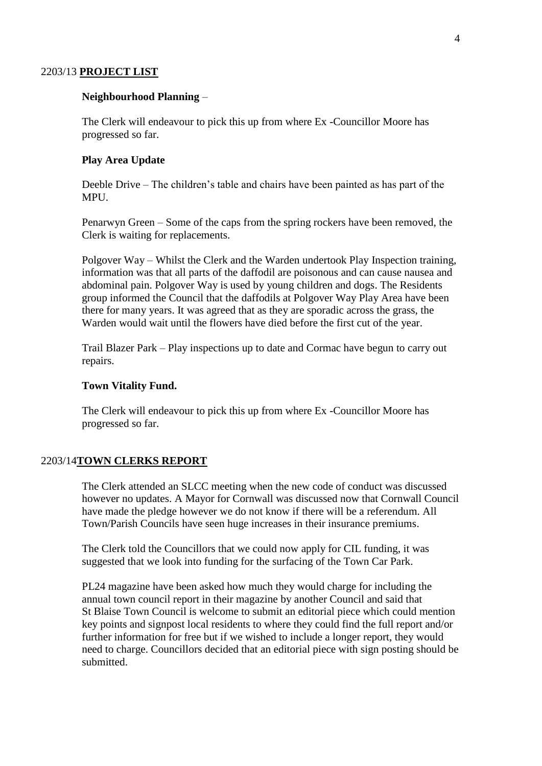#### 2203/13 **PROJECT LIST**

#### **Neighbourhood Planning** –

The Clerk will endeavour to pick this up from where Ex -Councillor Moore has progressed so far.

#### **Play Area Update**

Deeble Drive – The children's table and chairs have been painted as has part of the MPU.

Penarwyn Green – Some of the caps from the spring rockers have been removed, the Clerk is waiting for replacements.

Polgover Way – Whilst the Clerk and the Warden undertook Play Inspection training, information was that all parts of the daffodil are poisonous and can cause nausea and abdominal pain. Polgover Way is used by young children and dogs. The Residents group informed the Council that the daffodils at Polgover Way Play Area have been there for many years. It was agreed that as they are sporadic across the grass, the Warden would wait until the flowers have died before the first cut of the year.

Trail Blazer Park – Play inspections up to date and Cormac have begun to carry out repairs.

#### **Town Vitality Fund.**

The Clerk will endeavour to pick this up from where Ex -Councillor Moore has progressed so far.

## 2203/14**TOWN CLERKS REPORT**

The Clerk attended an SLCC meeting when the new code of conduct was discussed however no updates. A Mayor for Cornwall was discussed now that Cornwall Council have made the pledge however we do not know if there will be a referendum. All Town/Parish Councils have seen huge increases in their insurance premiums.

The Clerk told the Councillors that we could now apply for CIL funding, it was suggested that we look into funding for the surfacing of the Town Car Park.

PL24 magazine have been asked how much they would charge for including the annual town council report in their magazine by another Council and said that St Blaise Town Council is welcome to submit an editorial piece which could mention key points and signpost local residents to where they could find the full report and/or further information for free but if we wished to include a longer report, they would need to charge. Councillors decided that an editorial piece with sign posting should be submitted.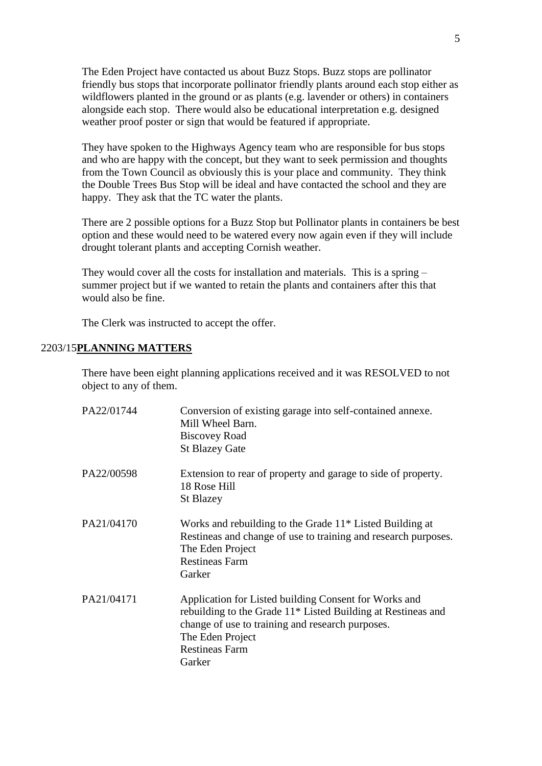The Eden Project have contacted us about Buzz Stops. Buzz stops are pollinator friendly bus stops that incorporate pollinator friendly plants around each stop either as wildflowers planted in the ground or as plants (e.g. lavender or others) in containers alongside each stop. There would also be educational interpretation e.g. designed weather proof poster or sign that would be featured if appropriate.

They have spoken to the Highways Agency team who are responsible for bus stops and who are happy with the concept, but they want to seek permission and thoughts from the Town Council as obviously this is your place and community. They think the Double Trees Bus Stop will be ideal and have contacted the school and they are happy. They ask that the TC water the plants.

There are 2 possible options for a Buzz Stop but Pollinator plants in containers be best option and these would need to be watered every now again even if they will include drought tolerant plants and accepting Cornish weather.

They would cover all the costs for installation and materials. This is a spring – summer project but if we wanted to retain the plants and containers after this that would also be fine.

The Clerk was instructed to accept the offer.

#### 2203/15**PLANNING MATTERS**

There have been eight planning applications received and it was RESOLVED to not object to any of them.

| PA22/01744 | Conversion of existing garage into self-contained annexe.<br>Mill Wheel Barn.<br><b>Biscovey Road</b><br><b>St Blazey Gate</b>                                                                                                   |
|------------|----------------------------------------------------------------------------------------------------------------------------------------------------------------------------------------------------------------------------------|
| PA22/00598 | Extension to rear of property and garage to side of property.<br>18 Rose Hill<br><b>St Blazey</b>                                                                                                                                |
| PA21/04170 | Works and rebuilding to the Grade 11 <sup>*</sup> Listed Building at<br>Restineas and change of use to training and research purposes.<br>The Eden Project<br><b>Restineas Farm</b><br>Garker                                    |
| PA21/04171 | Application for Listed building Consent for Works and<br>rebuilding to the Grade 11* Listed Building at Restineas and<br>change of use to training and research purposes.<br>The Eden Project<br><b>Restineas Farm</b><br>Garker |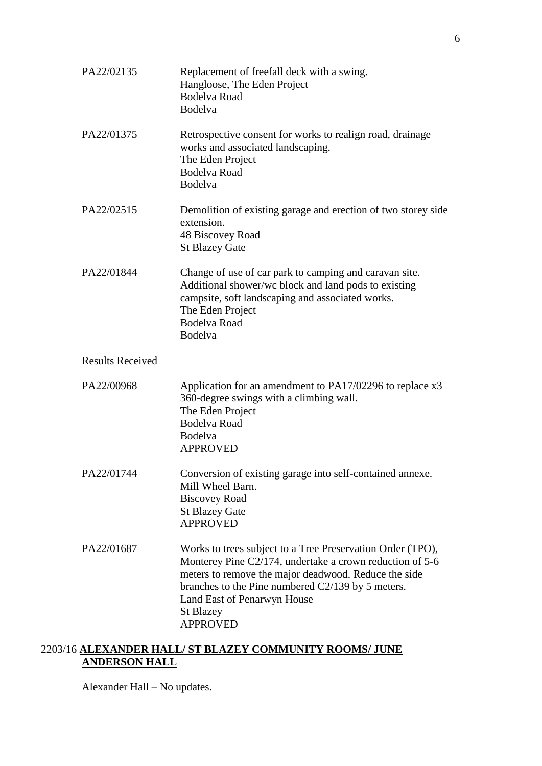| PA22/02135              | Replacement of freefall deck with a swing.<br>Hangloose, The Eden Project<br><b>Bodelva Road</b><br>Bodelva                                                                                                                                                                                               |
|-------------------------|-----------------------------------------------------------------------------------------------------------------------------------------------------------------------------------------------------------------------------------------------------------------------------------------------------------|
| PA22/01375              | Retrospective consent for works to realign road, drainage<br>works and associated landscaping.<br>The Eden Project<br><b>Bodelva Road</b><br><b>Bodelva</b>                                                                                                                                               |
| PA22/02515              | Demolition of existing garage and erection of two storey side<br>extension.<br>48 Biscovey Road<br><b>St Blazey Gate</b>                                                                                                                                                                                  |
| PA22/01844              | Change of use of car park to camping and caravan site.<br>Additional shower/we block and land pods to existing<br>campsite, soft landscaping and associated works.<br>The Eden Project<br><b>Bodelva Road</b><br>Bodelva                                                                                  |
| <b>Results Received</b> |                                                                                                                                                                                                                                                                                                           |
| PA22/00968              | Application for an amendment to $PA17/02296$ to replace $x3$<br>360-degree swings with a climbing wall.<br>The Eden Project<br><b>Bodelva Road</b><br><b>Bodelva</b><br><b>APPROVED</b>                                                                                                                   |
| PA22/01744              | Conversion of existing garage into self-contained annexe.<br>Mill Wheel Barn.<br><b>Biscovey Road</b><br><b>St Blazey Gate</b><br><b>APPROVED</b>                                                                                                                                                         |
| PA22/01687              | Works to trees subject to a Tree Preservation Order (TPO),<br>Monterey Pine C2/174, undertake a crown reduction of 5-6<br>meters to remove the major deadwood. Reduce the side<br>branches to the Pine numbered C2/139 by 5 meters.<br>Land East of Penarwyn House<br><b>St Blazey</b><br><b>APPROVED</b> |

# 2203/16 **ALEXANDER HALL/ ST BLAZEY COMMUNITY ROOMS/ JUNE ANDERSON HALL**

Alexander Hall – No updates.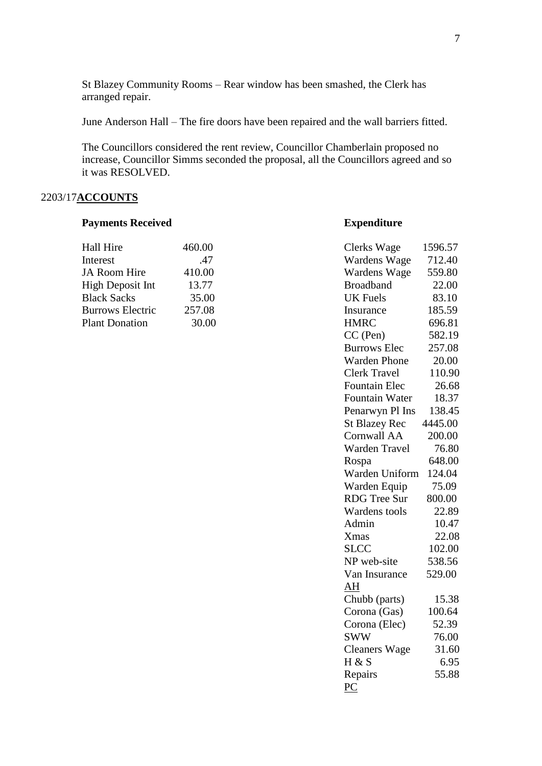St Blazey Community Rooms – Rear window has been smashed, the Clerk has arranged repair.

June Anderson Hall – The fire doors have been repaired and the wall barriers fitted.

The Councillors considered the rent review, Councillor Chamberlain proposed no increase, Councillor Simms seconded the proposal, all the Councillors agreed and so it was RESOLVED.

## 2203/17**ACCOUNTS**

#### **Payments Received <b>Expenditure**

| 460.00 | Clerks Wage      | 1596.57 |
|--------|------------------|---------|
| .47    | Wardens Wage     | 712.40  |
| 410.00 | Wardens Wage     | 559.80  |
| 13.77  | <b>Broadband</b> | 22.00   |
| 35.00  | UK Fuels         | 83.10   |
| 257.08 | Insurance        | 185.59  |
| 30.00  | HMRC             | 696.81  |
|        |                  |         |

| <b>Clerks Wage</b>   | 1596.57 |
|----------------------|---------|
| Wardens Wage         | 712.40  |
| Wardens Wage         | 559.80  |
| <b>Broadband</b>     | 22.00   |
| <b>UK Fuels</b>      | 83.10   |
| Insurance            | 185.59  |
| <b>HMRC</b>          | 696.81  |
| $CC$ (Pen)           | 582.19  |
| <b>Burrows Elec</b>  | 257.08  |
| <b>Warden Phone</b>  | 20.00   |
| <b>Clerk Travel</b>  | 110.90  |
| <b>Fountain Elec</b> | 26.68   |
| Fountain Water       | 18.37   |
| Penarwyn Pl Ins      | 138.45  |
| <b>St Blazey Rec</b> | 4445.00 |
| <b>Cornwall AA</b>   | 200.00  |
| <b>Warden Travel</b> | 76.80   |
| Rospa                | 648.00  |
| Warden Uniform       | 124.04  |
| Warden Equip         | 75.09   |
| <b>RDG</b> Tree Sur  | 800.00  |
| Wardens tools        | 22.89   |
| Admin                | 10.47   |
| <b>Xmas</b>          | 22.08   |
| <b>SLCC</b>          | 102.00  |
| NP web-site          | 538.56  |
| Van Insurance        | 529.00  |
| AH                   |         |
| Chubb (parts)        | 15.38   |
| Corona (Gas)         | 100.64  |
| Corona (Elec)        | 52.39   |
| <b>SWW</b>           | 76.00   |
| <b>Cleaners Wage</b> | 31.60   |
| H & S                | 6.95    |
| Repairs              | 55.88   |
| PC                   |         |